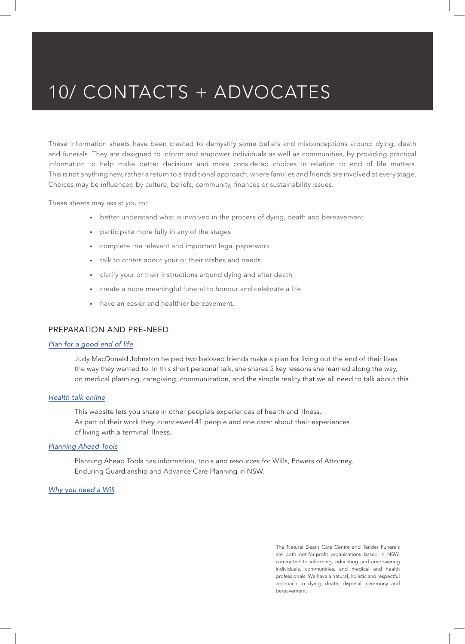These information sheets have been created to demystify some beliefs and misconceptions around dying, death and funerals. They are designed to inform and empower individuals as well as communities, by providing practical information to help make better decisions and more considered choices in relation to end of life matters. This is not anything new, rather a return to a traditional approach, where families and friends are involved at every stage. Choices may be influenced by culture, beliefs, community, finances or sustainability issues.

These sheets may assist you to:

- better understand what is involved in the process of dying, death and bereavement
- participate more fully in any of the stages
- complete the relevant and important legal paperwork
- talk to others about your or their wishes and needs
- clarify your or their instructions around dying and after death
- create a more meaningful funeral to honour and celebrate a life
- have an easier and healthier bereavement.

## PREPARATION AND PRE-NEED

#### *Plan for a good end of life*

Judy MacDonald Johnston helped two beloved friends make a plan for living out the end of their lives the way they wanted to. In this short personal talk, she shares 5 key lessons she learned along the way, on medical planning, caregiving, communication, and the simple reality that we all need to talk about this.

### *Health talk online*

This website lets you share in other people's experiences of health and illness. As part of their work they interviewed 41 people and one carer about their experiences of living with a terminal illness.

#### *Planning Ahead Tools*

Planning Ahead Tools has information, tools and resources for Wills, Powers of Attorney, Enduring Guardianship and Advance Care Planning in NSW.

#### *Why you need a Will*

The Natural Death Care Centre and Tender Funerals are both not-for-profit organisations based in NSW, committed to informing, educating and empowering individuals, communities, and medical and health professionals. We have a natural, holistic and respectful approach to dying, death, disposal, ceremony and bereavement.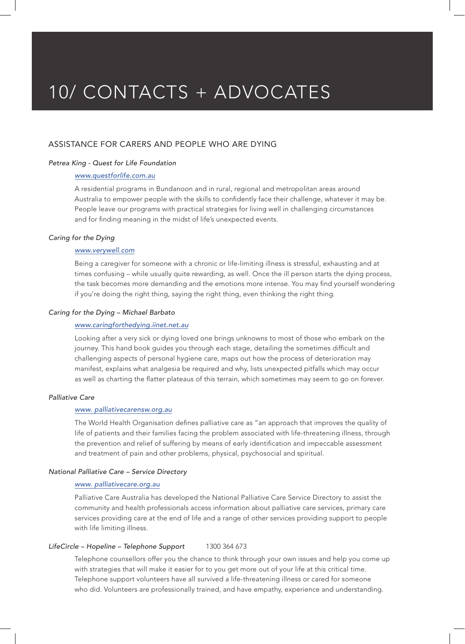## ASSISTANCE FOR CARERS AND PEOPLE WHO ARE DYING

## *Petrea King - Quest for Life Foundation*

### *www.questforlife.com.au*

A residential programs in Bundanoon and in rural, regional and metropolitan areas around Australia to empower people with the skills to confidently face their challenge, whatever it may be. People leave our programs with practical strategies for living well in challenging circumstances and for finding meaning in the midst of life's unexpected events.

#### *Caring for the Dying*

## *www.verywell.com*

Being a caregiver for someone with a chronic or life-limiting illness is stressful, exhausting and at times confusing – while usually quite rewarding, as well. Once the ill person starts the dying process, the task becomes more demanding and the emotions more intense. You may find yourself wondering if you're doing the right thing, saying the right thing, even thinking the right thing.

#### *Caring for the Dying – Michael Barbato*

#### *www.caringforthedying.iinet.net.au*

Looking after a very sick or dying loved one brings unknowns to most of those who embark on the journey. This hand book guides you through each stage, detailing the sometimes difficult and challenging aspects of personal hygiene care, maps out how the process of deterioration may manifest, explains what analgesia be required and why, lists unexpected pitfalls which may occur as well as charting the flatter plateaus of this terrain, which sometimes may seem to go on forever.

### *Palliative Care*

#### *www. palliativecarensw.org.au*

The World Health Organisation defines palliative care as "an approach that improves the quality of life of patients and their families facing the problem associated with life-threatening illness, through the prevention and relief of suffering by means of early identification and impeccable assessment and treatment of pain and other problems, physical, psychosocial and spiritual.

### *National Palliative Care – Service Directory*

#### *www. palliativecare.org.au*

Palliative Care Australia has developed the National Palliative Care Service Directory to assist the community and health professionals access information about palliative care services, primary care services providing care at the end of life and a range of other services providing support to people with life limiting illness.

### *LifeCircle – Hopeline – Telephone Support* 1300 364 673

Telephone counsellors offer you the chance to think through your own issues and help you come up with strategies that will make it easier for to you get more out of your life at this critical time. Telephone support volunteers have all survived a life-threatening illness or cared for someone who did. Volunteers are professionally trained, and have empathy, experience and understanding.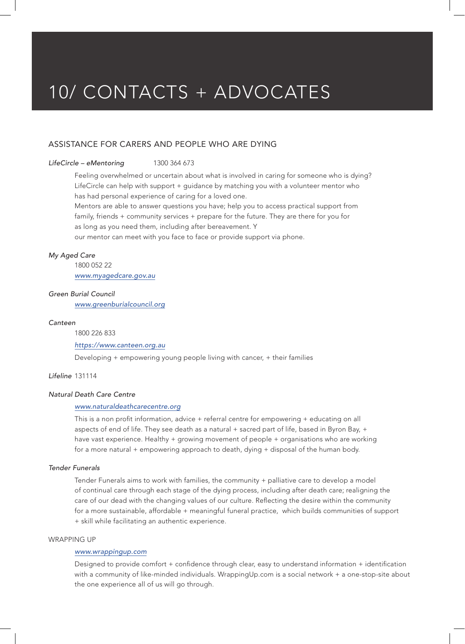## ASSISTANCE FOR CARERS AND PEOPLE WHO ARE DYING

*LifeCircle – eMentoring* 1300 364 673

Feeling overwhelmed or uncertain about what is involved in caring for someone who is dying? LifeCircle can help with support + guidance by matching you with a volunteer mentor who has had personal experience of caring for a loved one.

Mentors are able to answer questions you have; help you to access practical support from family, friends + community services + prepare for the future. They are there for you for as long as you need them, including after bereavement. Y

our mentor can meet with you face to face or provide support via phone.

#### *My Aged Care*

1800 052 22 *www.myagedcare.gov.au*

#### *Green Burial Council*

*www.greenburialcouncil.org*

#### *Canteen*

1800 226 833

#### *https://www.canteen.org.au*

Developing + empowering young people living with cancer, + their families

*Lifeline* 131114

#### *Natural Death Care Centre*

#### *www.naturaldeathcarecentre.org*

This is a non profit information, advice + referral centre for empowering + educating on all aspects of end of life. They see death as a natural + sacred part of life, based in Byron Bay, + have vast experience. Healthy + growing movement of people + organisations who are working for a more natural + empowering approach to death, dying + disposal of the human body.

## *Tender Funerals*

Tender Funerals aims to work with families, the community + palliative care to develop a model of continual care through each stage of the dying process, including after death care; realigning the care of our dead with the changing values of our culture. Reflecting the desire within the community for a more sustainable, affordable + meaningful funeral practice, which builds communities of support + skill while facilitating an authentic experience.

## WRAPPING UP

## *www.wrappingup.com*

Designed to provide comfort + confidence through clear, easy to understand information + identification with a community of like-minded individuals. WrappingUp.com is a social network + a one-stop-site about the one experience all of us will go through.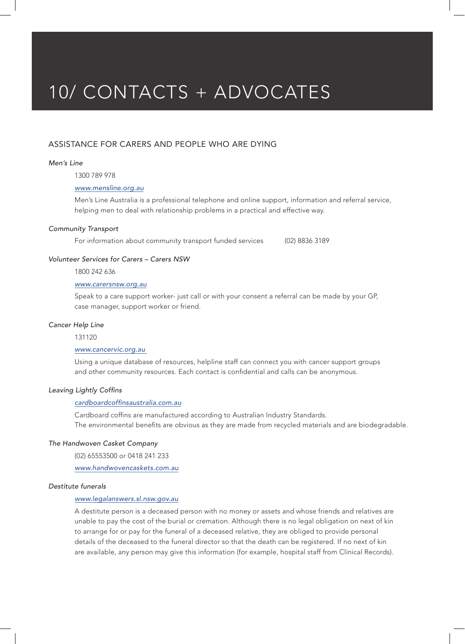## ASSISTANCE FOR CARERS AND PEOPLE WHO ARE DYING

#### *Men's Line*

1300 789 978

## *www.mensline.org.au*

Men's Line Australia is a professional telephone and online support, information and referral service, helping men to deal with relationship problems in a practical and effective way.

#### *Community Transport*

For information about community transport funded services (02) 8836 3189

#### *Volunteer Services for Carers – Carers NSW*

1800 242 636

## *www.carersnsw.org.au*

Speak to a care support worker- just call or with your consent a referral can be made by your GP, case manager, support worker or friend.

#### *Cancer Help Line*

#### 131120

#### *www.cancervic.org.au*

Using a unique database of resources, helpline staff can connect you with cancer support groups and other community resources. Each contact is confidential and calls can be anonymous.

#### Leaving Lightly Coffins

#### cardboardcoffinsaustralia.com.au

Cardboard coffins are manufactured according to Australian Industry Standards. The environmental benefits are obvious as they are made from recycled materials and are biodegradable.

## *The Handwoven Casket Company*

(02) 65553500 or 0418 241 233

*www.handwovencaskets.com.au*

#### *Destitute funerals*

### *www.legalanswers.sl.nsw.gov.au*

A destitute person is a deceased person with no money or assets and whose friends and relatives are unable to pay the cost of the burial or cremation. Although there is no legal obligation on next of kin to arrange for or pay for the funeral of a deceased relative, they are obliged to provide personal details of the deceased to the funeral director so that the death can be registered. If no next of kin are available, any person may give this information (for example, hospital staff from Clinical Records).